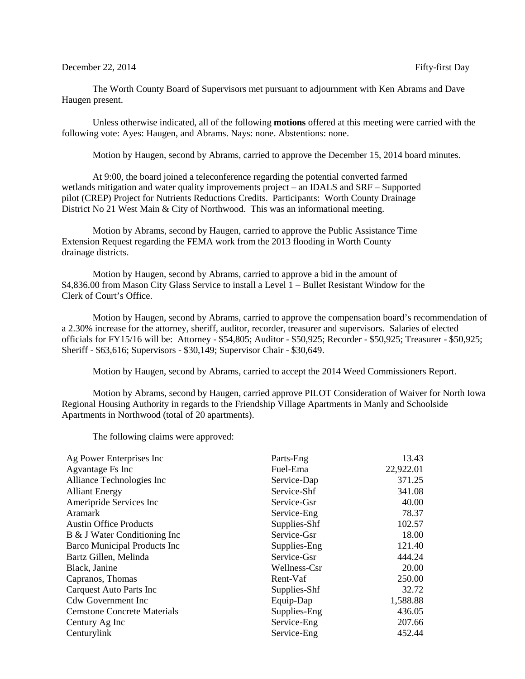## December 22, 2014 Fifty-first Day

The Worth County Board of Supervisors met pursuant to adjournment with Ken Abrams and Dave Haugen present.

Unless otherwise indicated, all of the following **motions** offered at this meeting were carried with the following vote: Ayes: Haugen, and Abrams. Nays: none. Abstentions: none.

Motion by Haugen, second by Abrams, carried to approve the December 15, 2014 board minutes.

At 9:00, the board joined a teleconference regarding the potential converted farmed wetlands mitigation and water quality improvements project – an IDALS and SRF – Supported pilot (CREP) Project for Nutrients Reductions Credits. Participants: Worth County Drainage District No 21 West Main & City of Northwood. This was an informational meeting.

Motion by Abrams, second by Haugen, carried to approve the Public Assistance Time Extension Request regarding the FEMA work from the 2013 flooding in Worth County drainage districts.

Motion by Haugen, second by Abrams, carried to approve a bid in the amount of \$4,836.00 from Mason City Glass Service to install a Level 1 – Bullet Resistant Window for the Clerk of Court's Office.

Motion by Haugen, second by Abrams, carried to approve the compensation board's recommendation of a 2.30% increase for the attorney, sheriff, auditor, recorder, treasurer and supervisors. Salaries of elected officials for FY15/16 will be: Attorney - \$54,805; Auditor - \$50,925; Recorder - \$50,925; Treasurer - \$50,925; Sheriff - \$63,616; Supervisors - \$30,149; Supervisor Chair - \$30,649.

Motion by Haugen, second by Abrams, carried to accept the 2014 Weed Commissioners Report.

Motion by Abrams, second by Haugen, carried approve PILOT Consideration of Waiver for North Iowa Regional Housing Authority in regards to the Friendship Village Apartments in Manly and Schoolside Apartments in Northwood (total of 20 apartments).

The following claims were approved:

| Ag Power Enterprises Inc           | Parts-Eng    | 13.43     |
|------------------------------------|--------------|-----------|
| Agvantage Fs Inc                   | Fuel-Ema     | 22,922.01 |
| Alliance Technologies Inc          | Service-Dap  | 371.25    |
| <b>Alliant Energy</b>              | Service-Shf  | 341.08    |
| Ameripride Services Inc            | Service-Gsr  | 40.00     |
| <b>Aramark</b>                     | Service-Eng  | 78.37     |
| <b>Austin Office Products</b>      | Supplies-Shf | 102.57    |
| B & J Water Conditioning Inc       | Service-Gsr  | 18.00     |
| Barco Municipal Products Inc       | Supplies-Eng | 121.40    |
| Bartz Gillen, Melinda              | Service-Gsr  | 444.24    |
| Black, Janine                      | Wellness-Csr | 20.00     |
| Capranos, Thomas                   | Rent-Vaf     | 250.00    |
| Carquest Auto Parts Inc            | Supplies-Shf | 32.72     |
| Cdw Government Inc                 | Equip-Dap    | 1,588.88  |
| <b>Cemstone Concrete Materials</b> | Supplies-Eng | 436.05    |
| Century Ag Inc                     | Service-Eng  | 207.66    |
| Centurylink                        | Service-Eng  | 452.44    |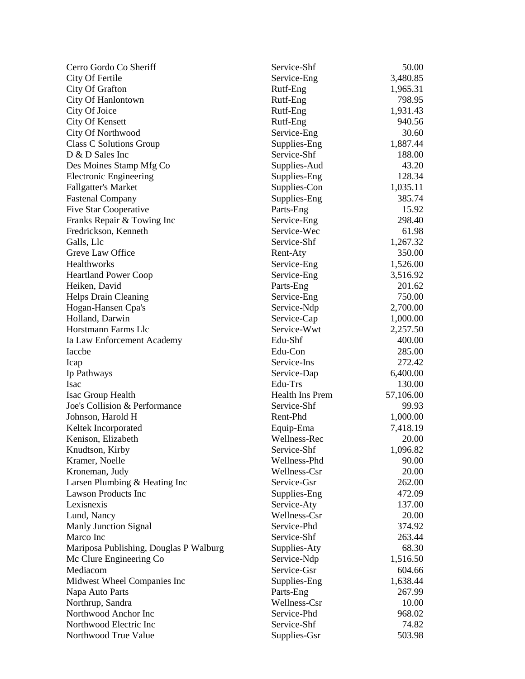| Cerro Gordo Co Sheriff                 | Service-Shf     | 50.00     |
|----------------------------------------|-----------------|-----------|
| City Of Fertile                        | Service-Eng     | 3,480.85  |
| City Of Grafton                        | Rutf-Eng        | 1,965.31  |
| City Of Hanlontown                     | Rutf-Eng        | 798.95    |
| City Of Joice                          | Rutf-Eng        | 1,931.43  |
| City Of Kensett                        | Rutf-Eng        | 940.56    |
| City Of Northwood                      | Service-Eng     | 30.60     |
| Class C Solutions Group                | Supplies-Eng    | 1,887.44  |
| D & D Sales Inc                        | Service-Shf     | 188.00    |
| Des Moines Stamp Mfg Co                | Supplies-Aud    | 43.20     |
| <b>Electronic Engineering</b>          | Supplies-Eng    | 128.34    |
| <b>Fallgatter's Market</b>             | Supplies-Con    | 1,035.11  |
| <b>Fastenal Company</b>                | Supplies-Eng    | 385.74    |
| <b>Five Star Cooperative</b>           | Parts-Eng       | 15.92     |
| Franks Repair & Towing Inc             | Service-Eng     | 298.40    |
| Fredrickson, Kenneth                   | Service-Wec     | 61.98     |
| Galls, Llc                             | Service-Shf     | 1,267.32  |
| Greve Law Office                       | Rent-Aty        | 350.00    |
| Healthworks                            | Service-Eng     | 1,526.00  |
| <b>Heartland Power Coop</b>            | Service-Eng     | 3,516.92  |
| Heiken, David                          | Parts-Eng       | 201.62    |
| Helps Drain Cleaning                   | Service-Eng     | 750.00    |
| Hogan-Hansen Cpa's                     | Service-Ndp     | 2,700.00  |
| Holland, Darwin                        | Service-Cap     | 1,000.00  |
| Horstmann Farms Llc                    | Service-Wwt     | 2,257.50  |
| Ia Law Enforcement Academy             | Edu-Shf         | 400.00    |
| Iaccbe                                 | Edu-Con         | 285.00    |
|                                        |                 | 272.42    |
| Icap                                   | Service-Ins     |           |
| Ip Pathways                            | Service-Dap     | 6,400.00  |
| Isac                                   | Edu-Trs         | 130.00    |
| Isac Group Health                      | Health Ins Prem | 57,106.00 |
| Joe's Collision & Performance          | Service-Shf     | 99.93     |
| Johnson, Harold H                      | Rent-Phd        | 1,000.00  |
| Keltek Incorporated                    | Equip-Ema       | 7,418.19  |
| Kenison, Elizabeth                     | Wellness-Rec    | 20.00     |
| Knudtson, Kirby                        | Service-Shf     | 1,096.82  |
| Kramer, Noelle                         | Wellness-Phd    | 90.00     |
| Kroneman, Judy                         | Wellness-Csr    | 20.00     |
| Larsen Plumbing & Heating Inc          | Service-Gsr     | 262.00    |
| <b>Lawson Products Inc</b>             | Supplies-Eng    | 472.09    |
| Lexisnexis                             | Service-Aty     | 137.00    |
| Lund, Nancy                            | Wellness-Csr    | 20.00     |
| <b>Manly Junction Signal</b>           | Service-Phd     | 374.92    |
| Marco Inc                              | Service-Shf     | 263.44    |
| Mariposa Publishing, Douglas P Walburg | Supplies-Aty    | 68.30     |
| Mc Clure Engineering Co                | Service-Ndp     | 1,516.50  |
| Mediacom                               | Service-Gsr     | 604.66    |
| Midwest Wheel Companies Inc            | Supplies-Eng    | 1,638.44  |
| Napa Auto Parts                        | Parts-Eng       | 267.99    |
| Northrup, Sandra                       | Wellness-Csr    | 10.00     |
| Northwood Anchor Inc                   | Service-Phd     | 968.02    |
| Northwood Electric Inc                 | Service-Shf     | 74.82     |
| Northwood True Value                   | Supplies-Gsr    | 503.98    |